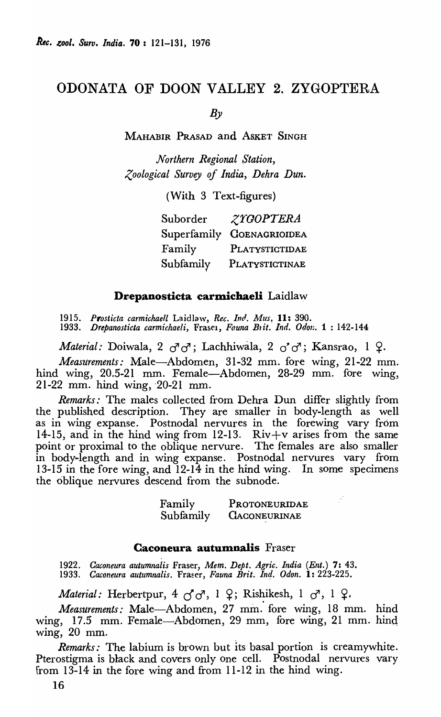# ODONATA OF DOON VALLEY 2. ZYGOPTERA

 $B_{\nu}$ 

MAHABIR PRASAD and ASKET SINGH

*Northern Regional Station, Zoological Survey of India, Dehra Dun.* 

(With 3 Text-figures)

| Suborder  | <i>ZYGOPTERA</i>          |
|-----------|---------------------------|
|           | Superfamily GOENAGRIOIDEA |
| Family    | PLATYSTICTIDAE            |
| Subfamily | PLATYSTICTINAE            |

### Drepanosticta carmichaeli Laidlaw

1915. Prosticta carmichaell Laidlow, *Rec. Ind. Mus*, 11: 390.

1933. Drepanosticta carmichaeli, Frasel, *Fauna Bitt. Ind. Odon.* 1: 142-144

*Material: Doiwala, 2*  $\sigma^2 \sigma^3$ *; Lachhiwala, 2*  $\sigma^2 \sigma^3$ *; Kansrao, 1*  $\Omega$ *.* 

*Measurements:* Male-Abdomen, 31-32 mm. fore wing, 21-22 mm. hind wing, 20.5-21 mm. Female-Abdomen, 28-29 mm. fore wing,  $21-22$  mm. hind wing,  $20-21$  mm.

*Remarks:* The males collected from Dehra Dun differ slightly from the published description. They are smaller in body-length as well as in wing expanse. Postnodal nervures in the forewing vary from 14-15, and in the hind wing from 12-13. Riv+v arises from the same point or proximal to the oblique nervure. The females are also smaller in body-length and in wing expanse. Postnodal nervures vary from 13-15 in the fore wing, and 12-14 in the hind wing. In some specimens the oblique nervures descend from the subnode.

| Family    | PROTONEURIDAE       |
|-----------|---------------------|
| Subfamily | <b>CACONEURINAE</b> |

### Caconeura autumnalis Fraser

*1922. Caconeura autumnalis* Fraser, *Mem. Dept. Agric. India (Ent.)* 7: 43. *1933. Caconeura autumnalis.* Fra~er, *Fauna Brit. Inti. Odon.* 1: 223-225.

*Material:* Herbertpur,  $4 \sim \sigma$ , 1  $\Omega$ ; Rishikesh, 1  $\sigma$ <sup>7</sup>, 1  $\Omega$ .

*Measurements:* Male-Abdomen, 27 mm. fore wing, 18 mm. hind wing, 17.5 mm. Female-Abdomen, 29 mm, fore wing, 21 mm. hind wing, 20 mm.

*Remarks:* The labium is brown but Its basal portion is creamywhite. Pterostigma is black and covers only One cell. Postnodal nervures vary from 13-14 in the fore wing and from 11-12 in the hind wing.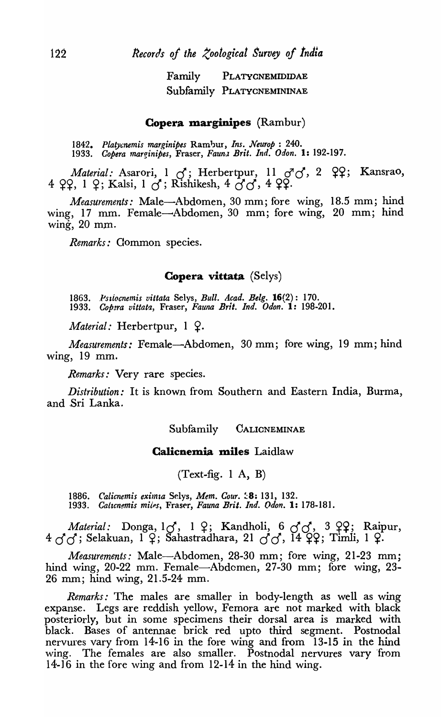Family PLATYCNEMIDIDAE Subfamily PLATYCNEMININAE

#### **Copera marginipes** (Rambur)

1842. Platycnemis marginipes Rambur, *Ins. Neurop* : 240. *1933. Copera marginipes,* Fraser, *Faun}, Brit. Ind. Odon.* 1: 192-197.

*Material: Asarori, 1 o; Herbertpur, 11 o<sup>7</sup>o<sup>7</sup>, 2 ° ??; Kansrao,* <sup>4</sup>~~, 1 ~; Kalsi, 1 *d;* Rishikesh, 4 *d d,* <sup>4</sup>~~.

*Measurements:* Male-Abdomen, 30 mm; fore wing, 18.5 mm; hind wing, 17 mm. Female-Abdomen, 30 mm; fore wing, 20 mm; hind wing,  $20$  mm.

*Remarks:* Common species.

### Copera vittata (Selys)

1863. *Pstiocnemis vittata* Selys, *Bull. Acad. Belg.* 16(2): 170. 1933. Copera vittata, Fraser, Fauna Brit. Ind. Odon. 1: 198-201.

*Material:* Herbertpur, 1  $\Omega$ .

*Measurements:* Female—Abdomen, 30 mm; fore wing, 19 mm; hind wing, 19 mm.

*Remarks:* Very rare species.

*Distribution:* It is known from Southern and Eastern India, Burma, and Sri Lanka.

#### Subfamily CALICNEMINAE

### Galicnemia miles Laidlaw

 $(Text-fig. 1 A, B)$ 

1886. Calicnemis eximia Selys, Mem. Cour. <sup>1</sup>8: 131, 132.<br>1933. Calicnemis miles, Fraser, Fauna Brit. Ind. Odon. 1: *1933.* Cattcn~is *miips,* Fras~r, *Fauna Brit. Ind. Odon.* 1: 178-181.

*Material:* Donga, 10, 1 9; Kandholi, 6 00, 3 99; Raipur,  $4 \sigma \sigma$ ; Selakuan, 1  $\varphi$ ; Sahastradhara, 21  $\sigma \sigma$ , 14  $\varphi$ , Timli, 1  $\varphi$ .

*Measurements:* Male-Abdomen, 28-30 mm; fore wing, 21-23 mm; hind wing, 20-22 mm. Female-Abdomen, 27-30 mm; fore wing, 23-26 mm; hind wing, 21.5-24 mm.

*Remarks:* The males are smaller in body-length as well as wing expanse. Legs are reddish yellow, Femora are not marked with black posteriorly, but in some specimens their dorsal area is marked with black. Bases of antennae brick red upto third segment. Postnodal nervures vary from 14-16 in the fore wing and from 13-15 in the hind wing. The females are also smaller. Postnodal nervures vary from 14-16 in the fore wing and from 12-14 in the hind wing.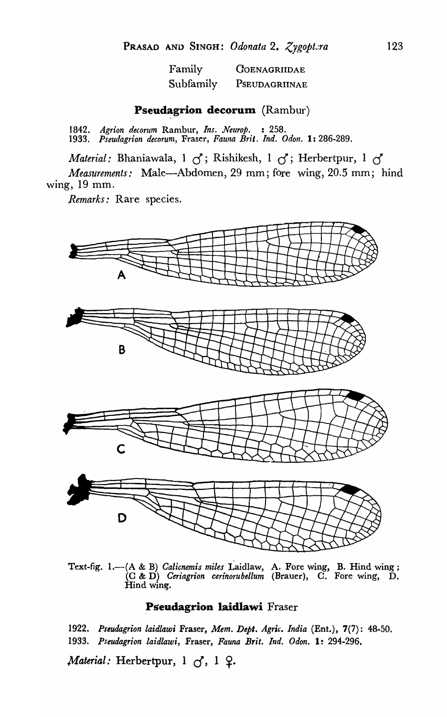| Family    | <b>COENAGRIIDAE</b> |
|-----------|---------------------|
| Subfamily | PSEUDAGRIINAE       |

### **Pseudagrion decorum** (Rambur)

*1842. Agrion decorum* Rambur, *Ins. Neurop.* : 258. 1933. Pseudagrion decorum, Fraser, Fauna Brit. Ind. Odon. 1: 286-289.

*Material:* Bhaniawala, 1 *d;* Rishikesh, 1 *d;* Herbertpur, 1 *d* 

*Measurements:* Male-Abdomen, 29 mm; fore wing, 20.5 mm; hind \ving, 19 mm.

*Remarks:* Rare species.



Text-fig. 1.-(A & B) *Calicnemis miles* Laidlaw, A. Fore wing, B. Hind wing; (C & D) *Ceriagrion cerinoruhellum* (Brauer), C. Fore wing, D. Hind wing.

### Pseudagrion laidlawi Fraser

*1922. Pseudagrion laidlaw;* Fraser, *Mem. Dept. Agric. India* (Ent.), 7(7): 48-50. *1933. Pseudagrion laidlawi,* Fraser, *Fauna Brit. Ind. Odon.* 1: 294-296,

*Material: Herbertpur, 1 6, 1 9.*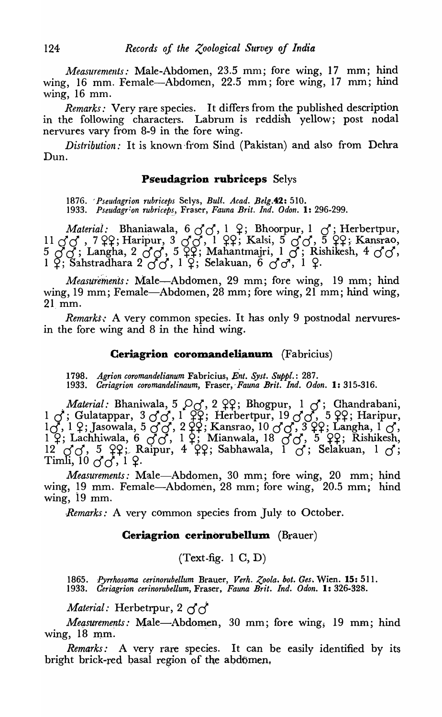*Measurements:* Male-Abdomen, 23.5 mm; fore wing, 17 mm; hind wing, 16 mm. Female-Abdomen, 22.5 mm; fore wing, 17 mm; hind wing,  $16$  mm.

*Remarks:* Very rare species. It differs from the published description in the following characters. Labrum is reddish yellow; post nodal nervures vary from 8-9 in the fore wing.

*Distribution:* It is known from Sind (Pakistan) and also from Dehra Dun.

### Pseudagrion rubriceps Selys

1876. ' *Pseudagrion rubriceps* Selys, *Bull. Acad. Belg.42: 510.*  1933. Pseudagrion rubriceps, Fraser, *Fauna Brit. Ind. Odon.* 1: 296-299.

*Material:* Bhaniawala,  $600, 102$ ; Bhoorpur, 1 *d*; Herbertpur, 11  $\sigma$  $\sigma$ , 7  $\Omega$ ; Haripur, 3  $\sigma$  $\sigma$ , 1  $\Omega$ ; Kalsi, 5  $\sigma$  $\sigma$ , 5  $\Omega$ ; Kansrao, <sup>5</sup>*d a;* Langha, 2 *d d,* <sup>5</sup>~~; Mahantmajri, 1 *d;* Rishikesh, 4' *d d ,*   $1~\varphi$ ; Sahstradhara 2  $\sigma\sigma$ , 1  $\varphi$ ; Selakuan, 6  $\sigma\sigma$ , 1  $\varphi$ .

*Measurements:* Male-Abdomen, 29 mm; fore wing, 19 mm; hind wing, 19 mm; Female-Abdomen, 28 mm; fore wing, 21 mm; hind wing, 21mm.

*Remarks:* A very common species. It has only 9 postnodal nervuresin the fore wing and 8 in the hind wing.

#### **Ceriagrion coromandelianum** (Fabricius)

*1798. Agrion coromandelianum* Fabricius, *En!. Syst. Suppl.:* 287. *1933. Ceriagrion coromandelinaum,* Fraser, *Fauna Brit. Ind. Odon.* I: 315-316 .

*Material: Bhaniwala, 5*  $\circ$ *d, 2*  $\circ$ *2; Bhogpur, 1 d; Ghandrabani, 1 d; Gulatappar, 3 d, 1*  $\circ$ *2; Herbertpur, 19 d, 5*  $\circ$ *2; Haripur, 19 d, 1*  $\circ$ *; Haripur, 19 d, 1*  $\circ$ *; Haripur, 1*  $\circ$  $l_{\alpha}$ , 1  $\varphi$ , 3 dialappar, 5 dog, 1  $+1$ , Tichocripar, 15 dog, 3  $+1$ , Tiaripar, 1 d, 1 d, 1 9; Lachhiwala, 6 *d d, 1* 9; Mianwala, 18 *d d, 5* 99; Rishikesh, <sup>12</sup>ad, <sup>5</sup>~~;/ Raipur, 4 ~~; Sabhawala, 1 *cJ;* Selakuan, <sup>1</sup>*d;*   $T$ imli,  $10 \, \text{J} \, \text{J} \, \text{J}$ ,  $1 \, \text{J} \, \text{J}$ 

*Measurements:* Male-Abdomen, 30 mm; fore wing, 20 mm; hind wing, 19 mm. Female-Abdomen, 28 mm; fore wing, 20.5 mm; hind wing, 19 mm.

*·Remarks:* A very common species from July to October.

### **Ceriagrion cerinorubellum** (Brauer)

 $(Text-fig. 1 C, D)$ 

1865. *Pyrrhosoma cerinorubellum Brauer, Verh. Zoola. bot. Ges. Wien.* **15:** 511. **1933.** *Ceriagrion cerinorubellum, Fraser, Fauna Brit. Ind. Odon.* **1:** 326-328. *1933. Ceriagrion cerinorubellum,* Fraser, *Fauna Brit. Ind. Odon.* I: 326-328.

*Material:* Herbetrpur, 2 *d d* 

*Measurements:* Male-Abdomen, 30 mm; fore wing, 19 mm; hind wing, 18 mm.

*Remarks:* A very rare species. It can be easily identified by its bright brick-red basal region of the abdomen,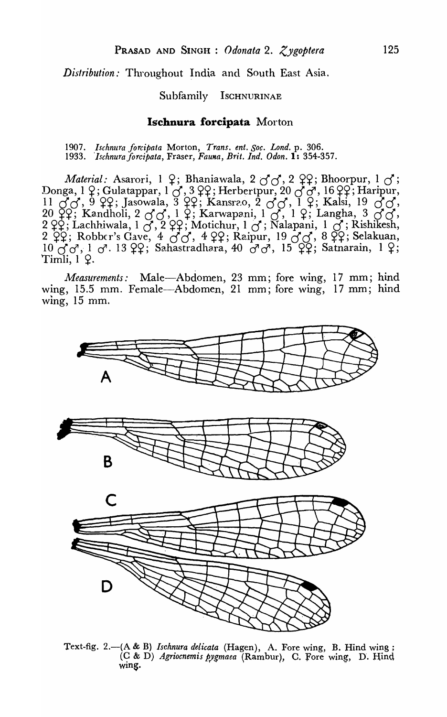*Distribution:* Throughout India and South East Asia.

#### Subfamily Ischnurinae

#### **Ischnura forcipata** Morton

*1907. Ischnura forcipata* Morton, *Trans. ent. Soc. Lond.* p. 306. *1933. 'Ischnuraforcipata,* Fraser, *Fauna, Brit. Ind. Odon.* 1: 354-357.

*Material: Asarori, 1 2; Bhaniawala, 2*  $\sigma \sigma$ *, 2 22; Bhoorpur, 1*  $\sigma$ *;* Donga, 1 <del>2</del>; Gulatappar, 1 *d*, 3 22; Herbertpur, 20 *d d*, 16 22; Haripur, 50nga, 1+, Gulauppar, 10, 3++, Tichocripur, 2000, 10++, Tiaripur,<br>11 *d* d, 9 <del>99</del>; Jasowala, 3 <del>99</del>; Kansrao, 2 d d, 1 <del>9</del>; Kalsi, 19 d d, 20~42; Kandholi, 2 *d d*, 1 <del>2</del>; Karwapani, 1 *d*, 1 <del>2</del>; Langha, 3 *d d*, 2°<sub>4</sub>+, Isandhon, 2°00, 1°4, Isandhon, 10, 1°4, Eangha, 6°00, 6°<br>2°42; Lachhiwala, 1 *d*<sup>2</sup>, 2°44; Motichur, 1 *d*<sup>2</sup>; Nalapani, 1 *d*<sup>2</sup>; Rishikesh, 2  $\sharp$ 2; Lacumwala, 1  $\circ$ , 2  $\sharp$ 2; Motichur, 1  $\circ$ , Naiapani, 1  $\circ$ , Nishkesh,<br>2  $\varphi$ 2; Robber's Gave, 4  $\circ$ 6, 4  $\varphi$ 2; Raipur, 19  $\circ$ 6, 8  $\varphi$ 2; Selakuan,  $10\text{ }C\text{ }C$ ,  $1\text{ }C$ . 13  $22$ ; Sahastradhara, 40  $C\text{ }C$ , 15  $22$ ; Satnarain, 1  $2$ ;  $Timli, 1 \; Q.$ 

*Measurements:* Male-Abdomen, 23 mm; fore wing, 17 mm; hind wing, 15.5 mm. Female-Abdomen, 21 mm; fore wing, 17 mm; hind wing, 15 mm.



Text-fig. 2.-(A & B) *Ischnura delicata* (Hagen), A. Fore wing, B. Hind wing; (C & D) *Agriocnemis pygmaea* (Rambur), C. Fore wing, D. Hind wing.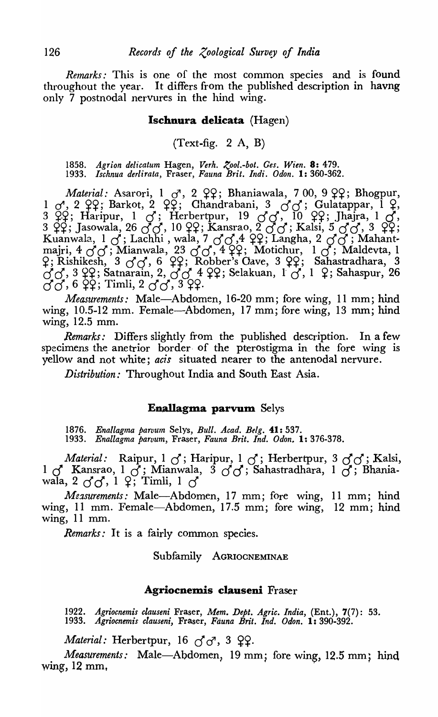*Remarks:* This is one of the most common species and is found throughout the year. It differs from the published description in havng only 7 postnodal nerVures in the hind wing.

### Ischnura delicata (Hagen)

(Text-fig.  $2 \text{ A}$ , B)

*1858. Agrion delieatum* Hagen, *Verh.* ~,ool.-bot. *Ges. Wien.* 8: 479. *1933. Isehnua derlirata,* Fraser, *Fauna Brit. Indi. Odon.* 1: 360-362.

*Material: Asarori, 1 d<sup>1</sup>, 2 22; Bhaniawala, 7 00, 9 22; Bhogpur,* 1 *d*, 2 <del>99</del>; Barkot, 2 99; Chandrabani, 3 *d* d; Gulatappar, 1 <del>9</del>, 3  $\frac{93}{4}$ ; Haripur, 1 *d*; Herbertpur, 19 *d d*, 10  $\frac{93}{4}$ ; Jhajra, 1 *d*, 3~44; Jasowala, 26 *d* d, 10^{2}; Kansrao, 2 *d* d; Kalsi, 5 *d* d, <sup>3</sup>~44; Kuanwala, 1 *a;* Lachhi , wala, 7 *d a,4* ~~; Langha, 2 *d d* ; Mahant~ Kuanwala, 1 *d*; Lachhi , wala, 7 *dd*, 4 99; Langha, 2 *dd*; Mahant-<br>majri, 4 *dd*; Mianwala, 23 *dd*, 4 99; Motichur, 1 d; Maldevta, 1 majri, 4 *o* o ; Mianwala, 23 o o , 4 99; Motichur, 1 o ; Maldevta, 1<br>9; Rishikesh, 3 o o , 6 99; Robber's Cave, 3 99; Sahastradhara, 3  $d^2$ ; Kishikesh, 3  $00$ , 0  $\pm$ ; Kobber s Gave, 3  $\pm$ ; Sahaspuraniara, 3<br> $d^2$ , 3  $\frac{10}{2}$ ; Satnarain, 2,  $d^2$ , 4  $\frac{10}{2}$ ; Selakuan, 1  $d^2$ , 1  $\frac{10}{2}$ ; Sahaspur, 26  $\ddot{a}$  dd, 6  $\ddot{a}$   $\ddot{c}$  and  $\ddot{a}$  and  $\ddot{a}$ ,  $\ddot{a}$  dd,  $\ddot{a}$  dd,  $\ddot{a}$ 

*Measurements:* Male-Abdomen, 16-20 mm; fore wing, 11 mm; hind wing, 10.5-12 mm. Female-Abdomen, 17 mm; fore wing, 13 mm; hind wing, 12.5 mm.

*Remarks:* Differs slightly from the published description. In a few specimens the anetrior border of the pterostigma in the fore wing is yellow and not white; *acis* situated nearer to the antenodal nervure.

*Distribution:* Throughout India and South East Asia.

### Ena1Iagma parvum Selys

*1876. Ena/lagma parvum* Selys, *Bull. Aead. Belg.* 41: 537. 1933. Enallagma parvum, Fraser, Fauna Brit. Ind. Odon. 1: 376-378.

*Material:* Raipur,1 *a;* Haripur, 1 *d;* Herbertpur, 3 *dd;* Kalsi, 1 *d* Kansrao, 1 *d;* Mianwala, 3 *d d;* Sahastradhara, 1 *d;* Bhaniawala, 2  $\sigma$ <sup> $\sigma$ </sup>, 1 <sup>2</sup>; Timli, 1  $\sigma$ <sup>*i*</sup>

*Measurements:* Male-Abdomen, 17 mm; fore wing, 11 mm; hind wing, 11 mm. Female-Abdomen, 17.5 mm; fore wing, 12 mm; hind wing, 11 mm.

*Remarks:* It is a fairly common species.

Subfamily AGRIOCNEMINAE

#### Agriocnemis clauseni Fraser

*1922. Agrioenemis elauseni* Fraser, *Mem. Dept. Agrie. India,* (Ent.), 7(7): 53. *1933. Agrioenemis clauseni,* Fraser, *Fauna Brit. Ind. Odon.* 1: 390-392.

*Material:* Herbertpur, 16  $\sigma$  $\sigma$ , 3  $\Omega$ .

*Measurements:* Male-Abdomen, 19 mm; fore wing, 12.5 mm; hind wing, 12 mm,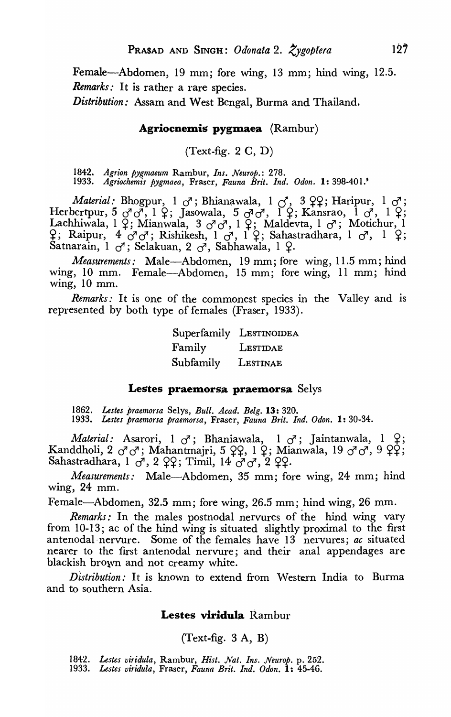Female—Abdomen, 19 mm; fore wing, 13 mm; hind wing, 12.5. *Remarks:* It is rather a rare species.

*Distribution:* Assam and West Bengal, Burma and Thailand.

### Agriocnemis pygmaea (Rambur)

 $(Text-fig. 2 C, D)$ 

*1842. Agrion pygmaeum* Rambur, *Ins. Neurop.: 278. 1933. Agriochemis pygmaea,* Fraser, *Fauna Brit. Ind. Odon.* 1: 398-401.'

*Material:* Bhogpur, 1  $\sigma$ ; Bhianawala, 1  $\sigma$ , 3 <del>99; Haripur, 1  $\sigma$ ;</del> Herbertpur, 5  $\sigma$   $\sigma$ , 1  $\varphi$ ; Jasowala, 5  $\sigma$   $\sigma$ , 1  $\varphi$ ; Kansrao, 1  $\sigma$ , 1  $\varphi$ ; Lachhiwala, 1 &; Mianwala, 3 *o*<sup>1</sup> o<sup>7</sup>, 1 &; Maldevta, 1 o<sup>7</sup>; Motichur, 1  $\frac{\alpha}{2}$ ; Raipur, 4  $\sigma$   $\sigma$ ; Rishikesh, 1  $\sigma$ , 1  $\frac{\alpha}{2}$ ; Sahastradhara, 1  $\sigma$ , 1  $\frac{\alpha}{2}$ ; Satnarain, 1  $\sigma$ '; Selakuan, 2  $\sigma$ <sup>'</sup>, Sabhawala, 1 <del>2</del>.

*Measurements:* Male-Abdomen, 19 mm; fore wing, 11.5 mm; hind wing, 10 mm. Female-Abdomen, 15 mm; fore wing, 11 mm; hind wing,  $10 \text{ mm}$ .

*Remarks:* It is one of the commonest species in the Valley and is represented by both type of females (Fraser, 1933).

|           | Superfamily LESTINOIDEA |
|-----------|-------------------------|
| Family    | LESTIDAE                |
| Subfamily | LESTINAE                |

### Lestes praemorsa praemorsa Selys

*1862. Lestes praemorsa* Selys, *Bull. Acad. Belg.* 13: 320. *1933. Lestes praemorsa praemorsa,* Fraser, *Fauna Brit. Ind. Odon.* 1: 30-34.

*Material:* Asarori, 1  $\sigma$ <sup>3</sup>; Bhaniawala, 1  $\sigma$ <sup>3</sup>; Jaintanwala, 1  $\frac{\alpha}{\sigma}$ ; Kanddholi, 2  $\sigma\sigma$ ; Mahantmajri, 5 <del>99</del>, 1 9; Mianwala, 19  $\sigma\sigma$ , 9 99; Sahastradhara, 1  $\sigma$ <sup>1</sup>, 2  $\Omega$ 9?; Timil, 14  $\sigma$ <sup>7</sup> $\sigma$ <sup>7</sup>, 2  $\Omega$ 9?.

*Measurements:* Male—Abdomen, 35 mm; fore wing, 24 mm; hind wing, 24 mm.

Female-Abdomen, 32.5 mm; fore wing, 26.5 mm; hind wing, 26 mm.

*Remarks:* In the males postnodal nervures of the hind wing vary from 10-13; ac of the hind wing is situated slightly proximal to the first antenodal nervure. Some of the females have 13 nervures; *ac* situated nearer to the first antenodal nervure; and their anal appendages are blackish brown and not creamy white.

*Distribution:* It is known to extend from Western India to Burma and to southern Asia.

### Lestes viridula Rambur

 $(Text-fig. 3 A, B)$ 

- 1842. Lestes viridula, Rambur, *Hist. Nat. Ins. Neurop.* p. 252.
- *1933. Lestes viridula,* Fraser, *Fauna Brit. Ind. Odon.* 1: 45-46.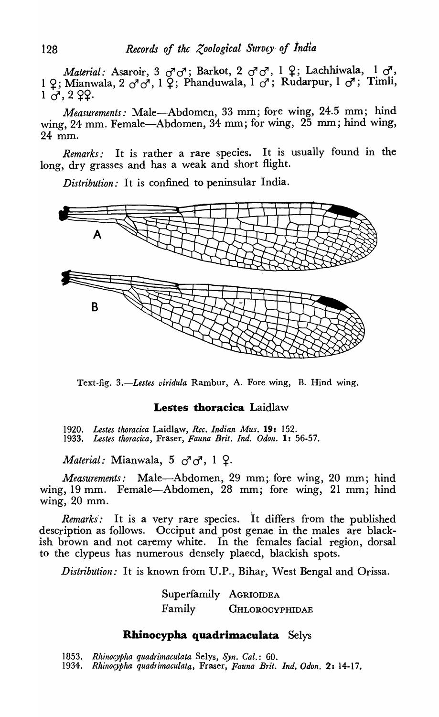*Material: Asaroir*, 3 *d*<sup>1</sup>*d*'; Barkot, 2 *d*<sup>1</sup>*d*', 1 <sup>9</sup>; Lachhiwala, 1 *d*', 1 ~; Mianwala, 2 *d' d',* 1 ~; Phanduwala, 1 *d';* Rudarpur, 1 *d';* Timli,  $1 \frac{1}{2}$ ,  $2 \frac{9}{2}$ .

*Measurements:* Male-Abdomen, 33 mm; fore wing, 24.5 mm; hind wing, 24 mm. Female-Abdomen, 34 mm; for wing, 25 mm; hind wing, 24 mm.

*Remarks*: It is rather a rare species. It is usually found in the long, dry grasses and has a weak and short flight.

*Distribution:* It is confined to peninsular India.



Text-fig. 3.-Lestes viridula Rambur, A. Fore wing, B. Hind wing.

# Lestes thoracica Laidlaw

*1920. Lestes thoracica* Laidlaw, *Rec. Indian Mus.* 19: 152. *1933. Lestes thoracica,* Fraser, *Fauna Brit. Ind. Odon.* 1: 56-57.

*Material: Mianwala, 5*  $\sigma$ *<sup>1</sup>* $\sigma$ *</sub>, 1*  $\Omega$ *.* 

*Measurements:* Male-Abdomen, 29 mm; fore wing, 20 mm; hind wing, 19 mm. Female-Abdomen, 28 mm; fore wing, 21 mm; hind wing, 20 mm.

*Remarks*: It is a very rare species. It differs from the published description as follows. Occiput and post genae in the males are blackish brown and not caremy white. In the females facial region, dorsal to the clypeus has numerous densely plaecd, blackish spots.

*Distribution:* It is known from D.P., Bihar, West Bengal and Orissa.

Superfamily AGRIOIDEA Family CHLOROCYPHIDAE

# Rhinocypha quadrimaculata Selys

*1853. Rhinocypha quadrimaculata* Selys, *Syn. Cal.: 60. 1934. Rhinocypha quadrimaculata,* Fraser, *Fauna Brit. Ind. Odon.* 2: 14-17.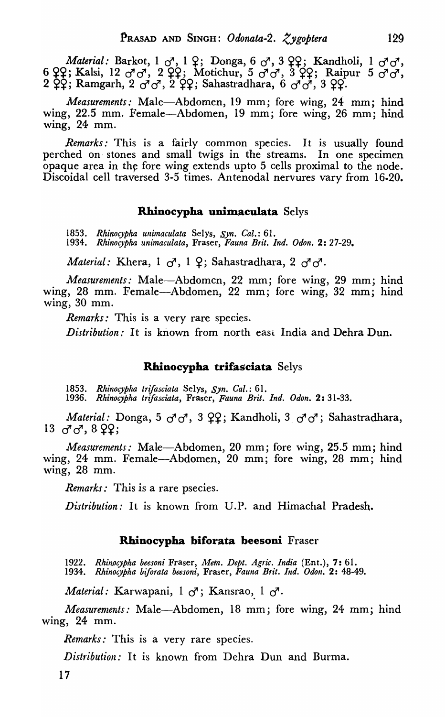*Material: Barkot*, 1  $\sigma^7$ , 1  $\Omega$ ; Donga, 6  $\sigma^7$ , 3  $\Omega$ , Kandholi, 1  $\sigma^7 \sigma^7$ , 6  $\Omega$ ; Kalsi, 12  $\sigma^7 \sigma^7$ , 2  $\Omega$ ; Motichur, 5  $\sigma^7 \sigma^7$ , 3  $\Omega$ ?; Raipur 5  $\sigma^7 \sigma^7$ ,  $2 \; \zeta$ ?; Ramgarh,  $2 \; \sigma$  o<sup>4</sup>,  $2 \; \zeta$ ??; Sahastradhara, 6  $\sigma$  o<sup>4</sup>, 3  $\zeta$ ?.

*Measurements:* Male-Abdomen, 19 mm; fore wing, 24 mm; hind wing, 22.5 mm. Female-Abdomen, 19 mm; fore wing, 26 mm; hind wing, 24 mm.

Remarks: This is a fairly common species. It is usually found perched on' stones and small twigs in the streams. In one specimen opaque area in the fore wing extends upto 5 cells proximal to the node. Discoidal cell traversed 3-5 times. Antenodal nervures vary from 16-20.

### Rhinocypha unimaculata Selys

*1853. Rhinocypha unimaculata* Selys, *Syn. Cal.: 61. 1934. Rhinocypha unimaculata,* Fraser, *Fauna Brit. Ind. Odon.* 2: 27-29.

*Material: Khera, 1*  $\sigma$ *, 1 2; Sahastradhara, 2*  $\sigma$  $\sigma$ *.* 

*Measurements:* Male-Abdomen, 22 mm; fore wing, 29 mm; hind wing, 28 mm. Female-Abdomen, 22 mm; fore wing, 32 mm; hind wing, 30 mm.

*Remarks:* This is a very rare species.

*Distribution:* It is known from north east India and Dehra Dun.

## Rhinocypha trifasciata Selys

*1853. Rhinocypha trifasciata* Selys, *Syn. Cal.: 61. 1936. Rhinocypha trifasciata,* Fraser, *Fauna Brit. Ind. Odon.* 2: 31-33.

*Material: Donga, 5*  $\sigma$ *<sup>1</sup>* $\sigma$ *<sup>1</sup>, 3*  $\Omega$ *<sub>2</sub>; Kandholi, 3*  $\sigma$ *<sup>1</sup>* $\sigma$ *<sup>7</sup>; Sahastradhara,*  $13 \text{ } \sigma \sigma$ ,  $8 \text{ } \Omega$ ;

*Measurements:* Male-Abdomen, 20 mm; fore wing, 25.5 mm; hind wing, 24 mm. Female-Abdomen, 20 mm; fore wing, 28 mm; hind wing, 28 mm.

*Remarks:* This *is* a rare psecies.

*Distribution:* It is known from D.P. and Himachal Pradesh.

### Rhinocypha biforata beesoni Fraser

1922. Rhinocypha beesoni Fraser, Mem. Dept. Agric. India (Ent.), 7: 61. *1934. Rhinocypha biforata beesoni,* Fraser, *Fauna Brit. Ind. Odon.* 2: 48-49.

*Material:* Karwapani, 1  $\sigma$ ; Kansrao, 1  $\sigma$ .

*Measurements:* Male-Abdomen, 18 mm; fore wing, 24 mm; hind wing, 24 mm.

*Remarks:* This is a very rare species.

*Distribution:* It is known from Dehra Dun and Burma.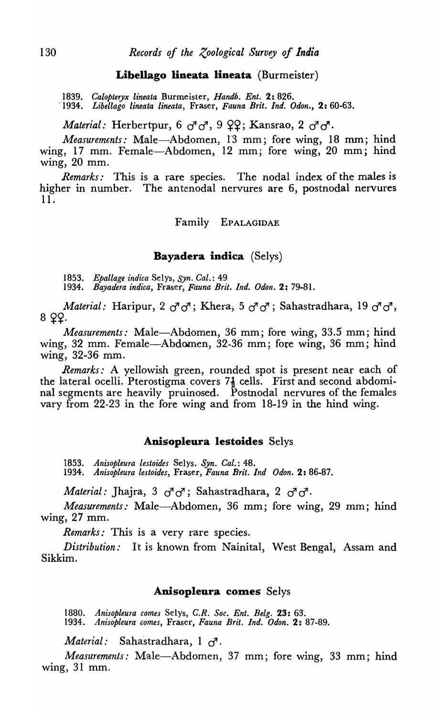### Libellago lineata lineata (Burmeister)

*1839. Calopteryx lineata* Burmeister, *Handh. Ent.* 2: 826.

*-1934. Libellago lineata lineata,* Fraser, *Fauna Brit. Ind. Odon.,* 2: 60-63.

*Material:* Herbertpur,  $6\sigma\sigma$ ,  $9~Q$ ?; Kansrao,  $2\sigma\sigma$ .

*Measurements:* Male-Abdomen, 13 mm; fore wing, 18 mm; hind wing, 17 mm. Female-Abdomen, 12 mm; fore wing, 20 mm; hind wing, 20 mm.

*Remarks:* This is a rare species. The nodal index of the males is higher in number. The antenodal nervures are 6, postnodal nervures 11.

Family EPALAGIDAE

### Bayadera indica (Selys)

*1853. Epallage indica* Selys, *Syn. Cal.: 49* 

*1934. Bayadera indica,* Fraser, *Fauna Brit. Ind. Odon.* 2; 79-81.

*Material:* Haripur, 2  $\sigma$ <sup>7</sup> $\sigma$ ; Khera, 5  $\sigma$ <sup>7</sup> $\sigma$ <sup>7</sup>; Sahastradhara, 19  $\sigma$ <sup>7</sup> $\sigma$ <sup>7</sup>, 8 22.

*Measurements:* Male-Abdomen, 36 mm; fore wing, 33.5 mm; hind wing, 32 mm. Female-Abdomen, 32-36 mm; fore wing, 36 mm; hind wing, 32-36 mm.

*Remarks:* A yellowish green, rounded spot is present near each of the lateral ocelli. Pterostigma covers  $7\frac{1}{2}$  cells. First and second abdominal segments are heavily pruinosed. Postnodal nervures of the females vary from 22-23 in the fore wing and from 18-19 in the hind wing.

#### Anisopleura lestoides Selys

*1853. Anisopleura lestoides* Selys. *Syn. Cal.: 48. 1934. Anisopleura lestoides,* Fraser, *Fauna Brit. Ind Odon.* 2: 86-87.

*Material:* Jhajra, 3  $\sigma^7 \sigma^7$ ; Sahastradhara, 2  $\sigma^7 \sigma^7$ .

*Measurements:* Male-Abdomen, 36 mm; fore wing, 29 mm; hind wing, 27 mm.

*Remarks:* This is a very rare species.

*Distribution:* It is known from Nainital, West Bengal, Assam and Sikkim.

#### Anisopleura comes Selys

*1880. Anisopleura comes* Selys, *C.R. Soc. Ent. Belg.* 23: 63. *1934. Anisopleura comes,* Fraser, *Fauna Brit. Ind. Odon.* 2: 87-89.

*Material:* Sahastradhara, 1  $\sigma$ <sup>7</sup>.

*Measurements:* Male-Abdomen, 37 mm; fore wing, 33 mm; hind wing, 31 mm.